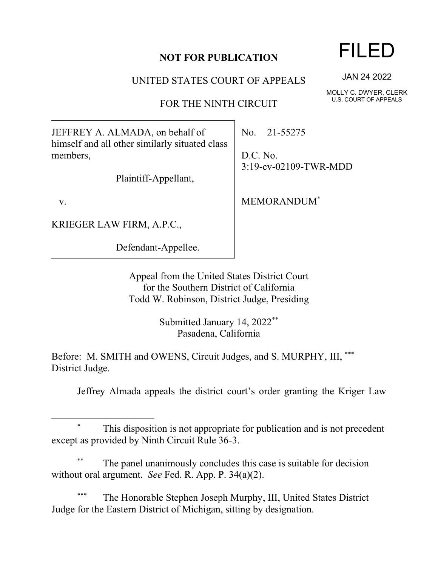## **NOT FOR PUBLICATION**

UNITED STATES COURT OF APPEALS

FOR THE NINTH CIRCUIT

JEFFREY A. ALMADA, on behalf of himself and all other similarly situated class members,

Plaintiff-Appellant,

v.

KRIEGER LAW FIRM, A.P.C.,

Defendant-Appellee.

No. 21-55275

D.C. No. 3:19-cv-02109-TWR-MDD

MEMORANDUM\*

Appeal from the United States District Court for the Southern District of California Todd W. Robinson, District Judge, Presiding

> Submitted January 14, 2022\*\* Pasadena, California

Before: M. SMITH and OWENS, Circuit Judges, and S. MURPHY, III, \*\*\* District Judge.

Jeffrey Almada appeals the district court's order granting the Kriger Law

## This disposition is not appropriate for publication and is not precedent except as provided by Ninth Circuit Rule 36-3.

The panel unanimously concludes this case is suitable for decision without oral argument. *See* Fed. R. App. P. 34(a)(2).

The Honorable Stephen Joseph Murphy, III, United States District Judge for the Eastern District of Michigan, sitting by designation.

## FILED

JAN 24 2022

MOLLY C. DWYER, CLERK U.S. COURT OF APPEALS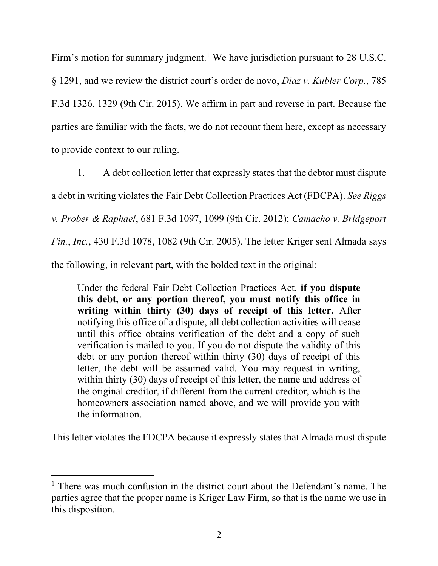Firm's motion for summary judgment.<sup>1</sup> We have jurisdiction pursuant to  $28$  U.S.C. § 1291, and we review the district court's order de novo, *Diaz v. Kubler Corp.*, 785 F.3d 1326, 1329 (9th Cir. 2015). We affirm in part and reverse in part. Because the parties are familiar with the facts, we do not recount them here, except as necessary to provide context to our ruling.

1. A debt collection letter that expressly states that the debtor must dispute a debt in writing violates the Fair Debt Collection Practices Act (FDCPA). *See Riggs v. Prober & Raphael*, 681 F.3d 1097, 1099 (9th Cir. 2012); *Camacho v. Bridgeport Fin.*, *Inc.*, 430 F.3d 1078, 1082 (9th Cir. 2005). The letter Kriger sent Almada says the following, in relevant part, with the bolded text in the original:

Under the federal Fair Debt Collection Practices Act, **if you dispute this debt, or any portion thereof, you must notify this office in writing within thirty (30) days of receipt of this letter.** After notifying this office of a dispute, all debt collection activities will cease until this office obtains verification of the debt and a copy of such verification is mailed to you. If you do not dispute the validity of this debt or any portion thereof within thirty (30) days of receipt of this letter, the debt will be assumed valid. You may request in writing, within thirty (30) days of receipt of this letter, the name and address of the original creditor, if different from the current creditor, which is the homeowners association named above, and we will provide you with the information.

This letter violates the FDCPA because it expressly states that Almada must dispute

 $1$  There was much confusion in the district court about the Defendant's name. The parties agree that the proper name is Kriger Law Firm, so that is the name we use in this disposition.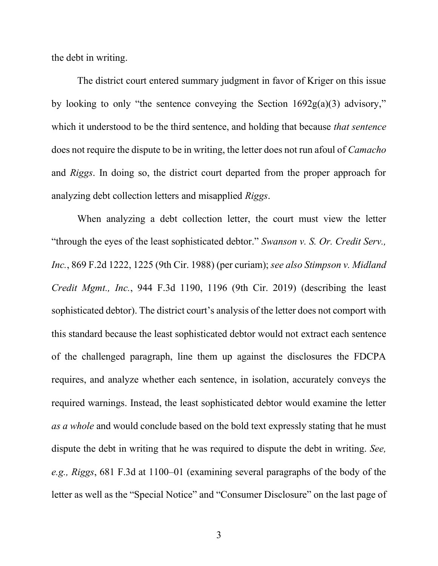the debt in writing.

The district court entered summary judgment in favor of Kriger on this issue by looking to only "the sentence conveying the Section  $1692g(a)(3)$  advisory," which it understood to be the third sentence, and holding that because *that sentence* does not require the dispute to be in writing, the letter does not run afoul of *Camacho*  and *Riggs*. In doing so, the district court departed from the proper approach for analyzing debt collection letters and misapplied *Riggs*.

When analyzing a debt collection letter, the court must view the letter "through the eyes of the least sophisticated debtor." *Swanson v. S. Or. Credit Serv., Inc.*, 869 F.2d 1222, 1225 (9th Cir. 1988) (per curiam); *see also Stimpson v. Midland Credit Mgmt., Inc.*, 944 F.3d 1190, 1196 (9th Cir. 2019) (describing the least sophisticated debtor). The district court's analysis of the letter does not comport with this standard because the least sophisticated debtor would not extract each sentence of the challenged paragraph, line them up against the disclosures the FDCPA requires, and analyze whether each sentence, in isolation, accurately conveys the required warnings. Instead, the least sophisticated debtor would examine the letter *as a whole* and would conclude based on the bold text expressly stating that he must dispute the debt in writing that he was required to dispute the debt in writing. *See, e.g., Riggs*, 681 F.3d at 1100–01 (examining several paragraphs of the body of the letter as well as the "Special Notice" and "Consumer Disclosure" on the last page of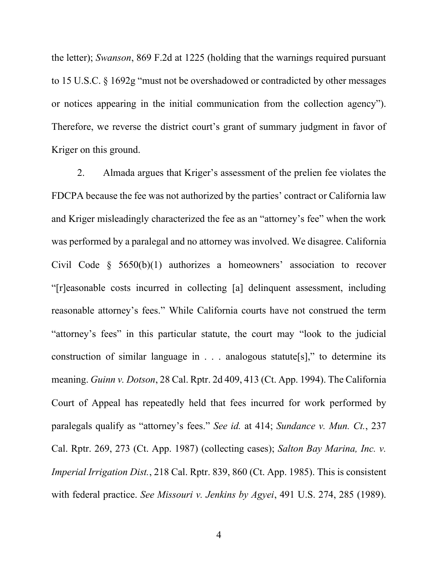the letter); *Swanson*, 869 F.2d at 1225 (holding that the warnings required pursuant to 15 U.S.C. § 1692g "must not be overshadowed or contradicted by other messages or notices appearing in the initial communication from the collection agency"). Therefore, we reverse the district court's grant of summary judgment in favor of Kriger on this ground.

2. Almada argues that Kriger's assessment of the prelien fee violates the FDCPA because the fee was not authorized by the parties' contract or California law and Kriger misleadingly characterized the fee as an "attorney's fee" when the work was performed by a paralegal and no attorney was involved. We disagree. California Civil Code § 5650(b)(1) authorizes a homeowners' association to recover "[r]easonable costs incurred in collecting [a] delinquent assessment, including reasonable attorney's fees." While California courts have not construed the term "attorney's fees" in this particular statute, the court may "look to the judicial construction of similar language in . . . analogous statute[s]," to determine its meaning. *Guinn v. Dotson*, 28 Cal. Rptr. 2d 409, 413 (Ct. App. 1994). The California Court of Appeal has repeatedly held that fees incurred for work performed by paralegals qualify as "attorney's fees." *See id.* at 414; *Sundance v. Mun. Ct.*, 237 Cal. Rptr. 269, 273 (Ct. App. 1987) (collecting cases); *Salton Bay Marina, Inc. v. Imperial Irrigation Dist.*, 218 Cal. Rptr. 839, 860 (Ct. App. 1985). This is consistent with federal practice. *See Missouri v. Jenkins by Agyei*, 491 U.S. 274, 285 (1989).